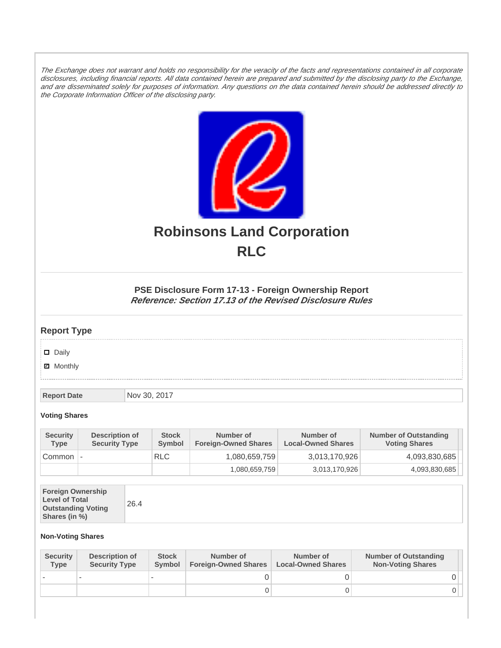The Exchange does not warrant and holds no responsibility for the veracity of the facts and representations contained in all corporate disclosures, including financial reports. All data contained herein are prepared and submitted by the disclosing party to the Exchange, and are disseminated solely for purposes of information. Any questions on the data contained herein should be addressed directly to the Corporate Information Officer of the disclosing party.



# **Robinsons Land Corporation RLC**

## **PSE Disclosure Form 17-13 - Foreign Ownership Report Reference: Section 17.13 of the Revised Disclosure Rules**

## **Report Type**

Daily

**Ø** Monthly

**Report Date** Nov 30, 2017

#### **Voting Shares**

| <b>Security</b><br><b>Type</b> | Description of<br><b>Security Type</b> | <b>Stock</b><br>Symbol | Number of<br><b>Foreign-Owned Shares</b> | Number of<br><b>Local-Owned Shares</b> | <b>Number of Outstanding</b><br><b>Voting Shares</b> |
|--------------------------------|----------------------------------------|------------------------|------------------------------------------|----------------------------------------|------------------------------------------------------|
| Common                         | $\overline{\phantom{a}}$               | <b>RLC</b>             | 1,080,659,759                            | 3,013,170,926                          | 4,093,830,685                                        |
|                                |                                        |                        | 1,080,659,759                            | 3,013,170,926                          | 4,093,830,685                                        |

| <b>Foreign Ownership</b><br><b>Level of Total</b><br><b>Outstanding Voting</b><br>Shares (in %) |
|-------------------------------------------------------------------------------------------------|
|-------------------------------------------------------------------------------------------------|

### **Non-Voting Shares**

| <b>Security</b><br><b>Type</b> | Description of<br><b>Security Type</b> | <b>Stock</b><br><b>Symbol</b> | Number of<br><b>Foreign-Owned Shares</b> | Number of<br><b>Local-Owned Shares</b> | <b>Number of Outstanding</b><br><b>Non-Voting Shares</b> |
|--------------------------------|----------------------------------------|-------------------------------|------------------------------------------|----------------------------------------|----------------------------------------------------------|
|                                |                                        |                               |                                          |                                        |                                                          |
|                                |                                        |                               | O                                        |                                        |                                                          |